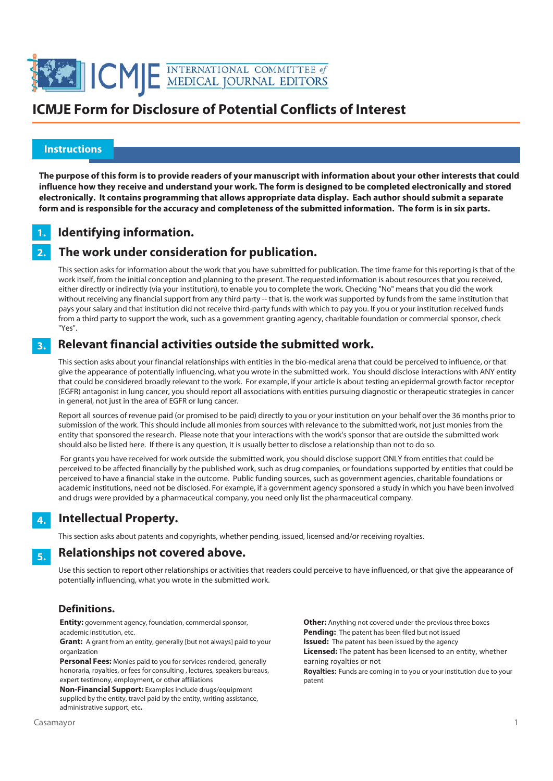

#### **Instructions**

 l

> **The purpose of this form is to provide readers of your manuscript with information about your other interests that could influence how they receive and understand your work. The form is designed to be completed electronically and stored electronically. It contains programming that allows appropriate data display. Each author should submit a separate form and is responsible for the accuracy and completeness of the submitted information. The form is in six parts.**

#### **Identifying information. 1.**

#### **The work under consideration for publication. 2.**

This section asks for information about the work that you have submitted for publication. The time frame for this reporting is that of the work itself, from the initial conception and planning to the present. The requested information is about resources that you received, either directly or indirectly (via your institution), to enable you to complete the work. Checking "No" means that you did the work without receiving any financial support from any third party -- that is, the work was supported by funds from the same institution that pays your salary and that institution did not receive third-party funds with which to pay you. If you or your institution received funds from a third party to support the work, such as a government granting agency, charitable foundation or commercial sponsor, check "Yes".

#### **Relevant financial activities outside the submitted work. 3.**

This section asks about your financial relationships with entities in the bio-medical arena that could be perceived to influence, or that give the appearance of potentially influencing, what you wrote in the submitted work. You should disclose interactions with ANY entity that could be considered broadly relevant to the work. For example, if your article is about testing an epidermal growth factor receptor (EGFR) antagonist in lung cancer, you should report all associations with entities pursuing diagnostic or therapeutic strategies in cancer in general, not just in the area of EGFR or lung cancer.

Report all sources of revenue paid (or promised to be paid) directly to you or your institution on your behalf over the 36 months prior to submission of the work. This should include all monies from sources with relevance to the submitted work, not just monies from the entity that sponsored the research. Please note that your interactions with the work's sponsor that are outside the submitted work should also be listed here. If there is any question, it is usually better to disclose a relationship than not to do so.

 For grants you have received for work outside the submitted work, you should disclose support ONLY from entities that could be perceived to be affected financially by the published work, such as drug companies, or foundations supported by entities that could be perceived to have a financial stake in the outcome. Public funding sources, such as government agencies, charitable foundations or academic institutions, need not be disclosed. For example, if a government agency sponsored a study in which you have been involved and drugs were provided by a pharmaceutical company, you need only list the pharmaceutical company.

#### **Intellectual Property. 4.**

This section asks about patents and copyrights, whether pending, issued, licensed and/or receiving royalties.

#### **Relationships not covered above. 5.**

Use this section to report other relationships or activities that readers could perceive to have influenced, or that give the appearance of potentially influencing, what you wrote in the submitted work.

#### **Definitions.**

**Entity:** government agency, foundation, commercial sponsor, academic institution, etc.

**Grant:** A grant from an entity, generally [but not always] paid to your organization

**Personal Fees:** Monies paid to you for services rendered, generally honoraria, royalties, or fees for consulting , lectures, speakers bureaus, expert testimony, employment, or other affiliations

**Non-Financial Support:** Examples include drugs/equipment supplied by the entity, travel paid by the entity, writing assistance, administrative support, etc**.**

**Other:** Anything not covered under the previous three boxes **Pending:** The patent has been filed but not issued **Issued:** The patent has been issued by the agency **Licensed:** The patent has been licensed to an entity, whether earning royalties or not **Royalties:** Funds are coming in to you or your institution due to your patent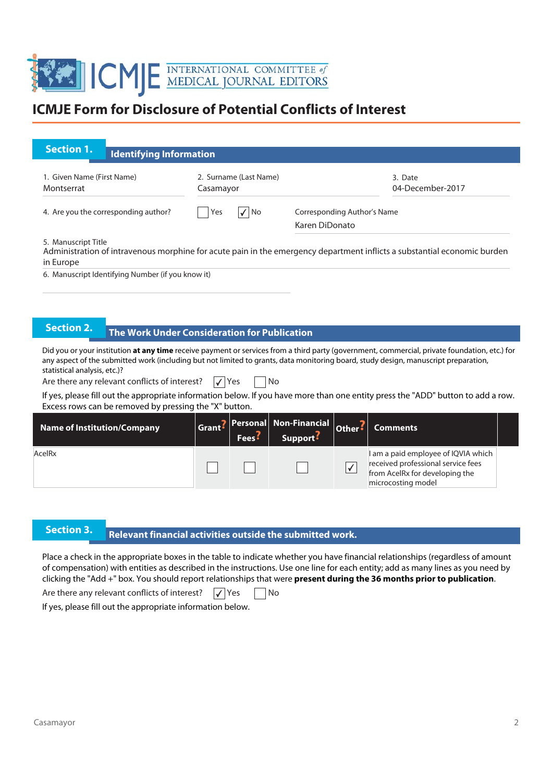

| <b>Section 1.</b><br><b>Identifying Information</b>                                                                                                                                                                                                                                                                  |                                                            |                                              |                                               |                                                                                                                                   |  |  |
|----------------------------------------------------------------------------------------------------------------------------------------------------------------------------------------------------------------------------------------------------------------------------------------------------------------------|------------------------------------------------------------|----------------------------------------------|-----------------------------------------------|-----------------------------------------------------------------------------------------------------------------------------------|--|--|
| 1. Given Name (First Name)<br>Montserrat                                                                                                                                                                                                                                                                             | 2. Surname (Last Name)<br>Casamayor                        |                                              |                                               | 3. Date<br>04-December-2017                                                                                                       |  |  |
| 4. Are you the corresponding author?                                                                                                                                                                                                                                                                                 | $\sqrt{ N}$<br>Yes                                         |                                              | Corresponding Author's Name<br>Karen DiDonato |                                                                                                                                   |  |  |
| 5. Manuscript Title<br>Administration of intravenous morphine for acute pain in the emergency department inflicts a substantial economic burden<br>in Europe                                                                                                                                                         |                                                            |                                              |                                               |                                                                                                                                   |  |  |
| 6. Manuscript Identifying Number (if you know it)                                                                                                                                                                                                                                                                    |                                                            |                                              |                                               |                                                                                                                                   |  |  |
|                                                                                                                                                                                                                                                                                                                      |                                                            |                                              |                                               |                                                                                                                                   |  |  |
| <b>Section 2.</b><br>The Work Under Consideration for Publication                                                                                                                                                                                                                                                    |                                                            |                                              |                                               |                                                                                                                                   |  |  |
| Did you or your institution at any time receive payment or services from a third party (government, commercial, private foundation, etc.) for<br>any aspect of the submitted work (including but not limited to grants, data monitoring board, study design, manuscript preparation,<br>statistical analysis, etc.)? |                                                            |                                              |                                               |                                                                                                                                   |  |  |
| Are there any relevant conflicts of interest?<br>If yes, please fill out the appropriate information below. If you have more than one entity press the "ADD" button to add a row.<br>Excess rows can be removed by pressing the "X" button.                                                                          | $\sqrt{\mathsf{Yes}}$                                      | No                                           |                                               |                                                                                                                                   |  |  |
| <b>Name of Institution/Company</b>                                                                                                                                                                                                                                                                                   | <b>Personal</b><br>Grant <sup>?</sup><br>Fees <sup>?</sup> | <b>Non-Financial</b><br>Support <sup>:</sup> | Other:                                        | <b>Comments</b>                                                                                                                   |  |  |
| AcelRx                                                                                                                                                                                                                                                                                                               |                                                            |                                              | $\blacktriangledown$                          | I am a paid employee of IQVIA which<br>received professional service fees<br>from AcelRx for developing the<br>microcosting model |  |  |
|                                                                                                                                                                                                                                                                                                                      |                                                            |                                              |                                               |                                                                                                                                   |  |  |
| $\mathcal{L}$ and the set of $\mathcal{L}$                                                                                                                                                                                                                                                                           |                                                            |                                              |                                               |                                                                                                                                   |  |  |

### **Rection 3.** Relevant financial activities outside the submitted work.

Place a check in the appropriate boxes in the table to indicate whether you have financial relationships (regardless of amount of compensation) with entities as described in the instructions. Use one line for each entity; add as many lines as you need by clicking the "Add +" box. You should report relationships that were **present during the 36 months prior to publication**.

Are there any relevant conflicts of interest?  $\boxed{\checkmark}$  Yes  $\boxed{\phantom{\checkmark}}$  No

If yes, please fill out the appropriate information below.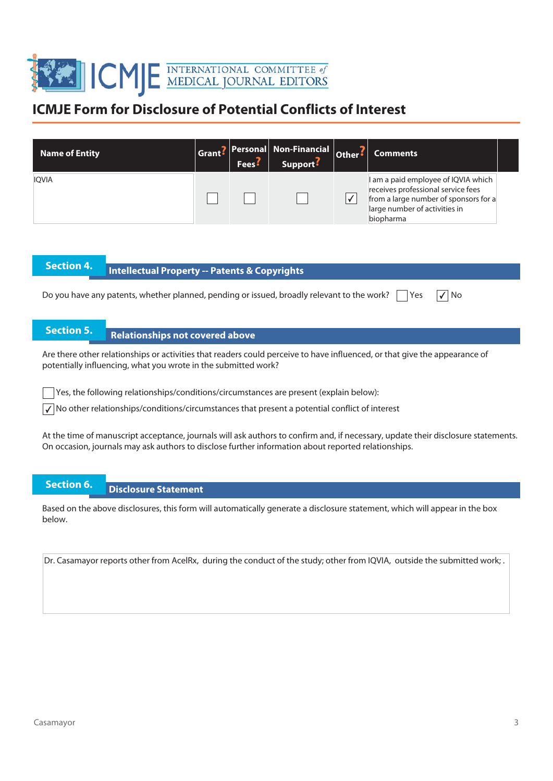

| <b>Name of Entity</b> | Fees <sup>5</sup> | Grant? Personal Non-Financial Other?<br>Support <sup>:</sup> | Comments                                                                                                                                                         |  |
|-----------------------|-------------------|--------------------------------------------------------------|------------------------------------------------------------------------------------------------------------------------------------------------------------------|--|
| <b>IOVIA</b>          |                   |                                                              | I am a paid employee of IQVIA which<br>receives professional service fees<br>from a large number of sponsors for a<br>large number of activities in<br>biopharma |  |

# **Intellectual Property -- Patents & Copyrights**

Do you have any patents, whether planned, pending or issued, broadly relevant to the work?  $\Box$  Yes  $\Box$  No

## **Section 5.** Relationships not covered above

Are there other relationships or activities that readers could perceive to have influenced, or that give the appearance of potentially influencing, what you wrote in the submitted work?

Yes, the following relationships/conditions/circumstances are present (explain below):

 $\sqrt{\sqrt{}}$  No other relationships/conditions/circumstances that present a potential conflict of interest

At the time of manuscript acceptance, journals will ask authors to confirm and, if necessary, update their disclosure statements. On occasion, journals may ask authors to disclose further information about reported relationships.

### **Section 6. Disclosure Statement**

Based on the above disclosures, this form will automatically generate a disclosure statement, which will appear in the box below.

Dr. Casamayor reports other from AcelRx, during the conduct of the study; other from IQVIA, outside the submitted work; .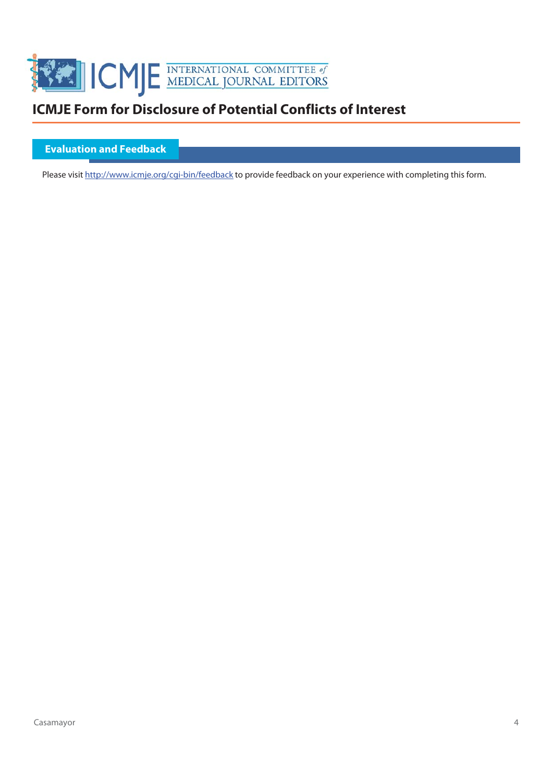

#### **Evaluation and Feedback**

Please visit http://www.icmje.org/cgi-bin/feedback to provide feedback on your experience with completing this form.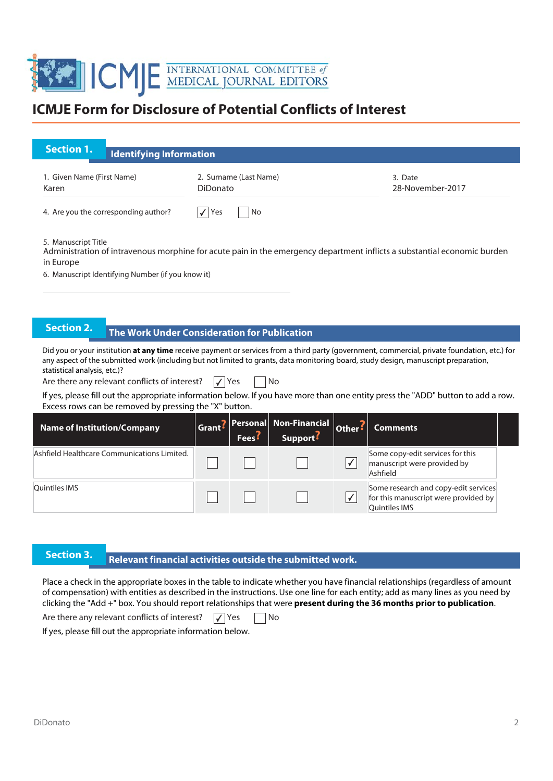

| <b>Section 1.</b><br><b>Identifying Information</b>                                                                                                                                                                  |                                                |                                              |           |                                                                             |  |  |  |
|----------------------------------------------------------------------------------------------------------------------------------------------------------------------------------------------------------------------|------------------------------------------------|----------------------------------------------|-----------|-----------------------------------------------------------------------------|--|--|--|
| 1. Given Name (First Name)<br>Karen                                                                                                                                                                                  | 2. Surname (Last Name)<br>DiDonato             |                                              |           | 3. Date<br>28-November-2017                                                 |  |  |  |
| 4. Are you the corresponding author?                                                                                                                                                                                 | Yes<br>No                                      |                                              |           |                                                                             |  |  |  |
| 5. Manuscript Title<br>Administration of intravenous morphine for acute pain in the emergency department inflicts a substantial economic burden<br>in Europe<br>6. Manuscript Identifying Number (if you know it)    |                                                |                                              |           |                                                                             |  |  |  |
| <b>Section 2.</b><br>The Work Under Consideration for Publication<br>Did you or your institution at any time receive payment or services from a third party (government, commercial, private foundation, etc.) for   |                                                |                                              |           |                                                                             |  |  |  |
| any aspect of the submitted work (including but not limited to grants, data monitoring board, study design, manuscript preparation,<br>statistical analysis, etc.)?<br>Are there any relevant conflicts of interest? | $\sqrt{Y}$ es<br><b>No</b>                     |                                              |           |                                                                             |  |  |  |
|                                                                                                                                                                                                                      |                                                |                                              |           |                                                                             |  |  |  |
| If yes, please fill out the appropriate information below. If you have more than one entity press the "ADD" button to add a row.<br>Excess rows can be removed by pressing the "X" button.                           |                                                |                                              |           |                                                                             |  |  |  |
| <b>Name of Institution/Company</b>                                                                                                                                                                                   | <b>Personal</b><br>Grant?<br>Fees <sup>:</sup> | <b>Non-Financial</b><br>Support <sup>?</sup> | Other:    | <b>Comments</b>                                                             |  |  |  |
| Ashfield Healthcare Communications Limited.                                                                                                                                                                          |                                                |                                              | $\sqrt{}$ | Some copy-edit services for this<br>manuscript were provided by<br>Ashfield |  |  |  |

### **Relevant financial activities outside the submitted work. Section 3. Relevant financial activities** outside the submitted work.

Place a check in the appropriate boxes in the table to indicate whether you have financial relationships (regardless of amount of compensation) with entities as described in the instructions. Use one line for each entity; add as many lines as you need by clicking the "Add +" box. You should report relationships that were **present during the 36 months prior to publication**.

Are there any relevant conflicts of interest?  $\Box$  Yes  $\Box$  No

If yes, please fill out the appropriate information below.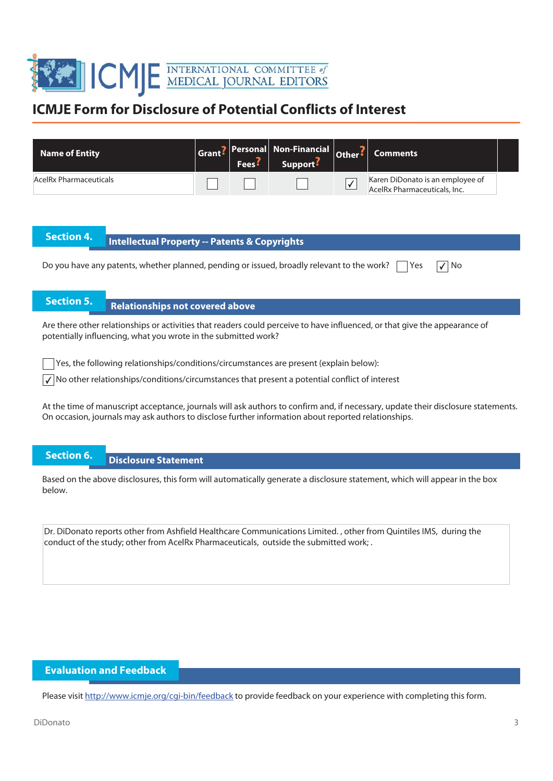

| <b>Name of Entity</b>                                                                                                                                                                                                                    | Grant <sup>?</sup>                                                                                                                                                                           | Personal I<br>Fees <sup>5</sup> | Non-Financial<br>Support: | Other:       | <b>Comments</b>                                                  |  |
|------------------------------------------------------------------------------------------------------------------------------------------------------------------------------------------------------------------------------------------|----------------------------------------------------------------------------------------------------------------------------------------------------------------------------------------------|---------------------------------|---------------------------|--------------|------------------------------------------------------------------|--|
| <b>AcelRx Pharmaceuticals</b>                                                                                                                                                                                                            |                                                                                                                                                                                              |                                 |                           | $\checkmark$ | Karen DiDonato is an employee of<br>AcelRx Pharmaceuticals, Inc. |  |
|                                                                                                                                                                                                                                          |                                                                                                                                                                                              |                                 |                           |              |                                                                  |  |
| <b>Section 4.</b><br><b>Intellectual Property -- Patents &amp; Copyrights</b>                                                                                                                                                            |                                                                                                                                                                                              |                                 |                           |              |                                                                  |  |
| Do you have any patents, whether planned, pending or issued, broadly relevant to the work?                                                                                                                                               |                                                                                                                                                                                              |                                 |                           |              | l No<br>Yes                                                      |  |
|                                                                                                                                                                                                                                          |                                                                                                                                                                                              |                                 |                           |              |                                                                  |  |
| <b>Section 5.</b><br><b>Relationships not covered above</b>                                                                                                                                                                              |                                                                                                                                                                                              |                                 |                           |              |                                                                  |  |
|                                                                                                                                                                                                                                          | Are there other relationships or activities that readers could perceive to have influenced, or that give the appearance of<br>potentially influencing, what you wrote in the submitted work? |                                 |                           |              |                                                                  |  |
| Yes, the following relationships/conditions/circumstances are present (explain below):                                                                                                                                                   |                                                                                                                                                                                              |                                 |                           |              |                                                                  |  |
| $\sqrt{}$ No other relationships/conditions/circumstances that present a potential conflict of interest                                                                                                                                  |                                                                                                                                                                                              |                                 |                           |              |                                                                  |  |
| At the time of manuscript acceptance, journals will ask authors to confirm and, if necessary, update their disclosure statements.<br>On occasion, journals may ask authors to disclose further information about reported relationships. |                                                                                                                                                                                              |                                 |                           |              |                                                                  |  |

**Section 6. Disclosure Statement** 

Based on the above disclosures, this form will automatically generate a disclosure statement, which will appear in the box below.

Dr. DiDonato reports other from Ashfield Healthcare Communications Limited. , other from Quintiles IMS, during the conduct of the study; other from AcelRx Pharmaceuticals, outside the submitted work; .

#### **Evaluation and Feedback**

Please visit http://www.icmje.org/cgi-bin/feedback to provide feedback on your experience with completing this form.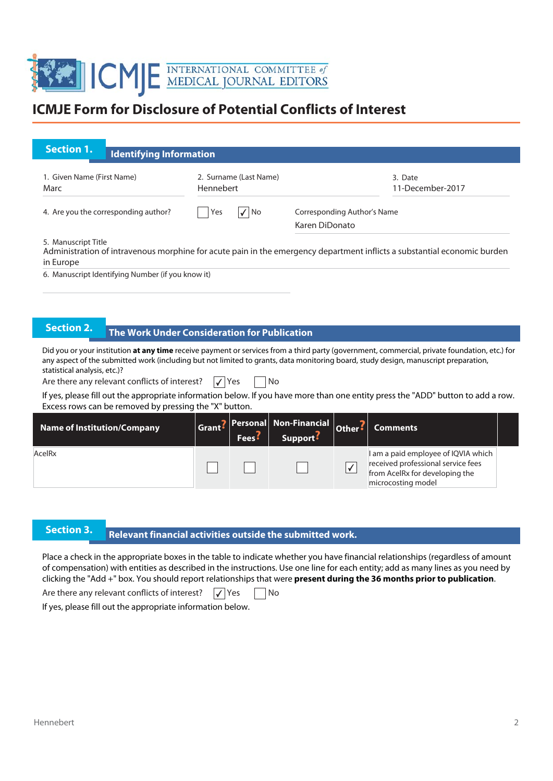

| <b>Section 1.</b><br><b>Identifying Information</b>                                                                                                                                                                                                                                                                  |                                                     |                                              |                                               |                                                                                                                                   |  |
|----------------------------------------------------------------------------------------------------------------------------------------------------------------------------------------------------------------------------------------------------------------------------------------------------------------------|-----------------------------------------------------|----------------------------------------------|-----------------------------------------------|-----------------------------------------------------------------------------------------------------------------------------------|--|
| 1. Given Name (First Name)<br>Marc                                                                                                                                                                                                                                                                                   | 2. Surname (Last Name)<br>Hennebert                 |                                              |                                               | 3. Date<br>11-December-2017                                                                                                       |  |
| 4. Are you the corresponding author?                                                                                                                                                                                                                                                                                 | $\sqrt{ N}$<br>Yes                                  |                                              | Corresponding Author's Name<br>Karen DiDonato |                                                                                                                                   |  |
| 5. Manuscript Title<br>Administration of intravenous morphine for acute pain in the emergency department inflicts a substantial economic burden<br>in Europe                                                                                                                                                         |                                                     |                                              |                                               |                                                                                                                                   |  |
| 6. Manuscript Identifying Number (if you know it)                                                                                                                                                                                                                                                                    |                                                     |                                              |                                               |                                                                                                                                   |  |
|                                                                                                                                                                                                                                                                                                                      |                                                     |                                              |                                               |                                                                                                                                   |  |
| <b>Section 2.</b>                                                                                                                                                                                                                                                                                                    | <b>The Work Under Consideration for Publication</b> |                                              |                                               |                                                                                                                                   |  |
| Did you or your institution at any time receive payment or services from a third party (government, commercial, private foundation, etc.) for<br>any aspect of the submitted work (including but not limited to grants, data monitoring board, study design, manuscript preparation,<br>statistical analysis, etc.)? |                                                     |                                              |                                               |                                                                                                                                   |  |
| Are there any relevant conflicts of interest?                                                                                                                                                                                                                                                                        | No<br>$\sqrt{\mathsf{Yes}}$                         |                                              |                                               |                                                                                                                                   |  |
| If yes, please fill out the appropriate information below. If you have more than one entity press the "ADD" button to add a row.<br>Excess rows can be removed by pressing the "X" button.                                                                                                                           |                                                     |                                              |                                               |                                                                                                                                   |  |
| <b>Name of Institution/Company</b>                                                                                                                                                                                                                                                                                   | Personal<br>Grant?<br>Fees <sup>5</sup>             | <b>Non-Financial</b><br>Support <sup>:</sup> | Other:                                        | <b>Comments</b>                                                                                                                   |  |
| AcelRx                                                                                                                                                                                                                                                                                                               |                                                     |                                              | $\sqrt{}$                                     | I am a paid employee of IQVIA which<br>received professional service fees<br>from AcelRx for developing the<br>microcosting model |  |
|                                                                                                                                                                                                                                                                                                                      |                                                     |                                              |                                               |                                                                                                                                   |  |
|                                                                                                                                                                                                                                                                                                                      |                                                     |                                              |                                               |                                                                                                                                   |  |

### **Relevant financial activities outside the submitted work. Section 3. Propendig activates**

Place a check in the appropriate boxes in the table to indicate whether you have financial relationships (regardless of amount of compensation) with entities as described in the instructions. Use one line for each entity; add as many lines as you need by clicking the "Add +" box. You should report relationships that were **present during the 36 months prior to publication**.

Are there any relevant conflicts of interest?  $\boxed{\checkmark}$  Yes  $\boxed{\phantom{\checkmark}}$  No

If yes, please fill out the appropriate information below.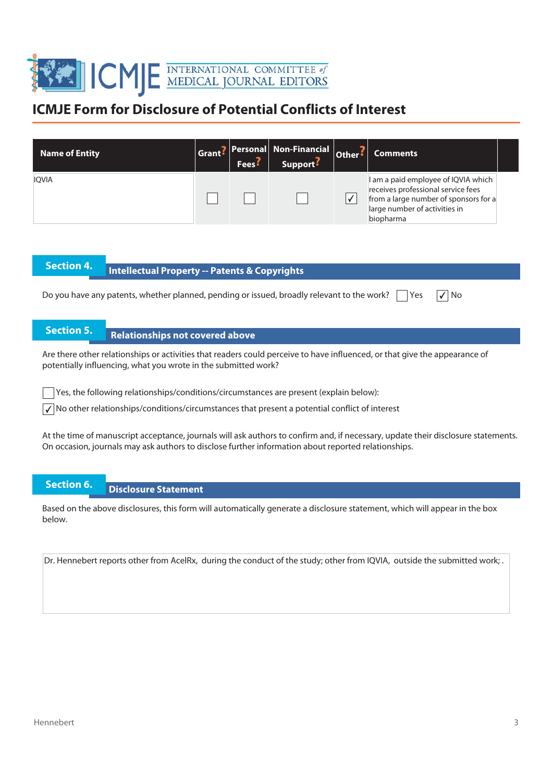

| <b>Name of Entity</b> | <b>Fees</b> : | Grant? Personal Non-Financial Other?<br>Support <sup>:</sup> | <b>Comments</b>                                                                                                                                                  |  |
|-----------------------|---------------|--------------------------------------------------------------|------------------------------------------------------------------------------------------------------------------------------------------------------------------|--|
| <b>IOVIA</b>          |               |                                                              | I am a paid employee of IQVIA which<br>receives professional service fees<br>from a large number of sponsors for a<br>large number of activities in<br>biopharma |  |

# **Intellectual Property -- Patents & Copyrights**

Do you have any patents, whether planned, pending or issued, broadly relevant to the work?  $\Box$  Yes  $\Box$  No

## **Section 5.** Relationships not covered above

Are there other relationships or activities that readers could perceive to have influenced, or that give the appearance of potentially influencing, what you wrote in the submitted work?

Yes, the following relationships/conditions/circumstances are present (explain below):

 $\sqrt{\sqrt{}}$  No other relationships/conditions/circumstances that present a potential conflict of interest

At the time of manuscript acceptance, journals will ask authors to confirm and, if necessary, update their disclosure statements. On occasion, journals may ask authors to disclose further information about reported relationships.

### **Section 6. Disclosure Statement**

Based on the above disclosures, this form will automatically generate a disclosure statement, which will appear in the box below.

Dr. Hennebert reports other from AcelRx, during the conduct of the study; other from IQVIA, outside the submitted work; .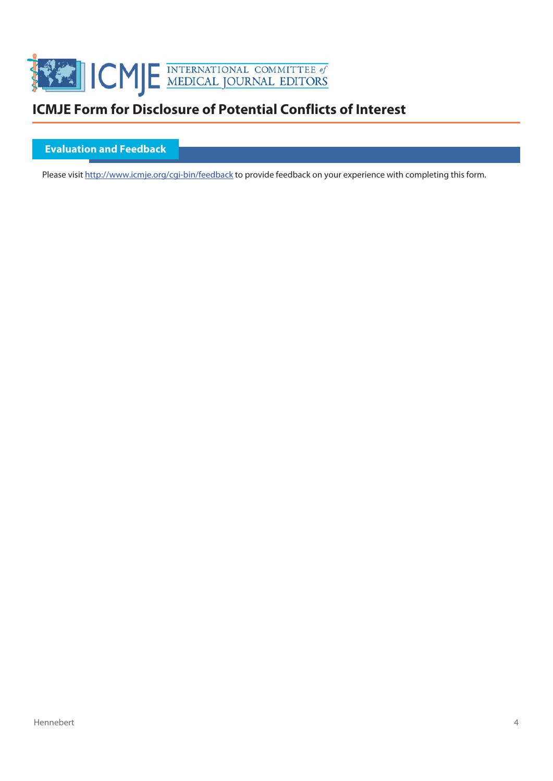

#### **Evaluation and Feedback**

Please visit http://www.icmje.org/cgi-bin/feedback to provide feedback on your experience with completing this form.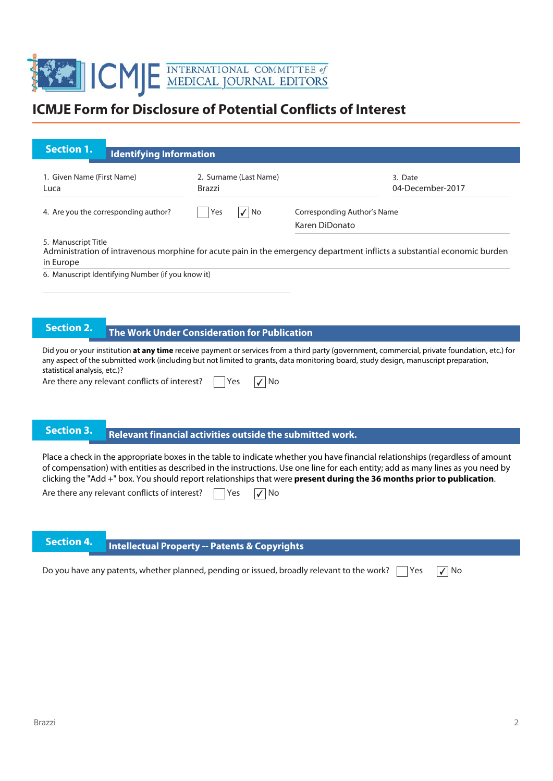

| <b>Section 1.</b>                                                                                                                                                                                                                                                                                                                                                                                                                                                                                                      |                                                                                                                                                 | <b>Identifying Information</b>                           |                                                                                                                                     |                                                                                                                                               |  |  |  |
|------------------------------------------------------------------------------------------------------------------------------------------------------------------------------------------------------------------------------------------------------------------------------------------------------------------------------------------------------------------------------------------------------------------------------------------------------------------------------------------------------------------------|-------------------------------------------------------------------------------------------------------------------------------------------------|----------------------------------------------------------|-------------------------------------------------------------------------------------------------------------------------------------|-----------------------------------------------------------------------------------------------------------------------------------------------|--|--|--|
| 1. Given Name (First Name)<br>Luca                                                                                                                                                                                                                                                                                                                                                                                                                                                                                     |                                                                                                                                                 | 2. Surname (Last Name)<br><b>Brazzi</b>                  |                                                                                                                                     | 3. Date<br>04-December-2017                                                                                                                   |  |  |  |
|                                                                                                                                                                                                                                                                                                                                                                                                                                                                                                                        | 4. Are you the corresponding author?                                                                                                            | √∣No<br>Yes                                              | Corresponding Author's Name<br>Karen DiDonato                                                                                       |                                                                                                                                               |  |  |  |
| in Europe                                                                                                                                                                                                                                                                                                                                                                                                                                                                                                              | 5. Manuscript Title<br>Administration of intravenous morphine for acute pain in the emergency department inflicts a substantial economic burden |                                                          |                                                                                                                                     |                                                                                                                                               |  |  |  |
|                                                                                                                                                                                                                                                                                                                                                                                                                                                                                                                        | 6. Manuscript Identifying Number (if you know it)                                                                                               |                                                          |                                                                                                                                     |                                                                                                                                               |  |  |  |
|                                                                                                                                                                                                                                                                                                                                                                                                                                                                                                                        |                                                                                                                                                 |                                                          |                                                                                                                                     |                                                                                                                                               |  |  |  |
| <b>Section 2.</b>                                                                                                                                                                                                                                                                                                                                                                                                                                                                                                      |                                                                                                                                                 | <b>The Work Under Consideration for Publication</b>      |                                                                                                                                     |                                                                                                                                               |  |  |  |
| statistical analysis, etc.)?                                                                                                                                                                                                                                                                                                                                                                                                                                                                                           | Are there any relevant conflicts of interest?                                                                                                   | No<br>Yes                                                | any aspect of the submitted work (including but not limited to grants, data monitoring board, study design, manuscript preparation, | Did you or your institution at any time receive payment or services from a third party (government, commercial, private foundation, etc.) for |  |  |  |
| <b>Section 3.</b>                                                                                                                                                                                                                                                                                                                                                                                                                                                                                                      |                                                                                                                                                 |                                                          |                                                                                                                                     |                                                                                                                                               |  |  |  |
| Relevant financial activities outside the submitted work.<br>Place a check in the appropriate boxes in the table to indicate whether you have financial relationships (regardless of amount<br>of compensation) with entities as described in the instructions. Use one line for each entity; add as many lines as you need by<br>clicking the "Add +" box. You should report relationships that were present during the 36 months prior to publication.<br>Are there any relevant conflicts of interest?<br>No<br>Yes |                                                                                                                                                 |                                                          |                                                                                                                                     |                                                                                                                                               |  |  |  |
| <b>Section 4.</b>                                                                                                                                                                                                                                                                                                                                                                                                                                                                                                      |                                                                                                                                                 | <b>Intellectual Property -- Patents &amp; Copyrights</b> |                                                                                                                                     |                                                                                                                                               |  |  |  |
|                                                                                                                                                                                                                                                                                                                                                                                                                                                                                                                        |                                                                                                                                                 |                                                          | Do you have any patents, whether planned, pending or issued, broadly relevant to the work?                                          | Yes<br>$\sqrt{ }$ No                                                                                                                          |  |  |  |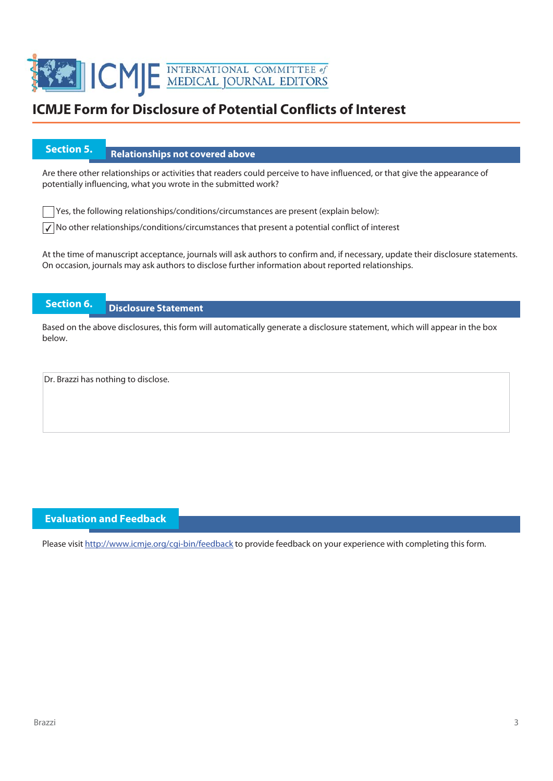

# **Section 5.** Relationships not covered above

Are there other relationships or activities that readers could perceive to have influenced, or that give the appearance of potentially influencing, what you wrote in the submitted work?

 $\Box$  Yes, the following relationships/conditions/circumstances are present (explain below):

 $\sqrt{\phantom{a}}$  No other relationships/conditions/circumstances that present a potential conflict of interest

At the time of manuscript acceptance, journals will ask authors to confirm and, if necessary, update their disclosure statements. On occasion, journals may ask authors to disclose further information about reported relationships.

### **Section 6. Disclosure Statement**

Based on the above disclosures, this form will automatically generate a disclosure statement, which will appear in the box below.

Dr. Brazzi has nothing to disclose.

#### **Evaluation and Feedback**

Please visit http://www.icmje.org/cqi-bin/feedback to provide feedback on your experience with completing this form.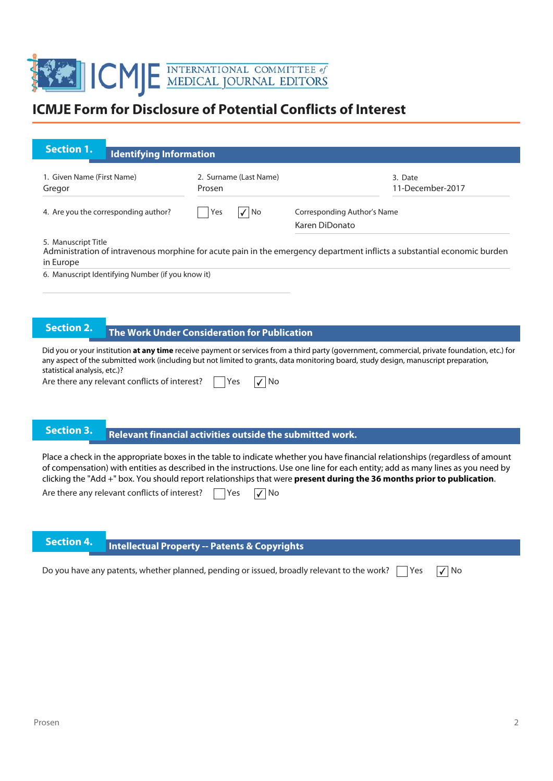

| <b>Section 1.</b>                                                                                                                                                                                                                                                                                                                                                                                                                                                                                                      | <b>Identifying Information</b>                    |                                                          |                                                                                                                                     |                                                                                                                                               |  |  |
|------------------------------------------------------------------------------------------------------------------------------------------------------------------------------------------------------------------------------------------------------------------------------------------------------------------------------------------------------------------------------------------------------------------------------------------------------------------------------------------------------------------------|---------------------------------------------------|----------------------------------------------------------|-------------------------------------------------------------------------------------------------------------------------------------|-----------------------------------------------------------------------------------------------------------------------------------------------|--|--|
| 1. Given Name (First Name)<br>Gregor                                                                                                                                                                                                                                                                                                                                                                                                                                                                                   |                                                   | 2. Surname (Last Name)<br>Prosen                         |                                                                                                                                     | 3. Date<br>11-December-2017                                                                                                                   |  |  |
|                                                                                                                                                                                                                                                                                                                                                                                                                                                                                                                        | 4. Are you the corresponding author?              | $\sqrt{ N}$<br>Yes                                       | Corresponding Author's Name<br>Karen DiDonato                                                                                       |                                                                                                                                               |  |  |
| 5. Manuscript Title<br>Administration of intravenous morphine for acute pain in the emergency department inflicts a substantial economic burden<br>in Europe                                                                                                                                                                                                                                                                                                                                                           |                                                   |                                                          |                                                                                                                                     |                                                                                                                                               |  |  |
|                                                                                                                                                                                                                                                                                                                                                                                                                                                                                                                        | 6. Manuscript Identifying Number (if you know it) |                                                          |                                                                                                                                     |                                                                                                                                               |  |  |
|                                                                                                                                                                                                                                                                                                                                                                                                                                                                                                                        |                                                   |                                                          |                                                                                                                                     |                                                                                                                                               |  |  |
| <b>Section 2.</b>                                                                                                                                                                                                                                                                                                                                                                                                                                                                                                      |                                                   | <b>The Work Under Consideration for Publication</b>      |                                                                                                                                     |                                                                                                                                               |  |  |
| statistical analysis, etc.)?                                                                                                                                                                                                                                                                                                                                                                                                                                                                                           | Are there any relevant conflicts of interest?     | No<br>Yes                                                | any aspect of the submitted work (including but not limited to grants, data monitoring board, study design, manuscript preparation, | Did you or your institution at any time receive payment or services from a third party (government, commercial, private foundation, etc.) for |  |  |
| <b>Section 3.</b>                                                                                                                                                                                                                                                                                                                                                                                                                                                                                                      |                                                   |                                                          |                                                                                                                                     |                                                                                                                                               |  |  |
| Relevant financial activities outside the submitted work.<br>Place a check in the appropriate boxes in the table to indicate whether you have financial relationships (regardless of amount<br>of compensation) with entities as described in the instructions. Use one line for each entity; add as many lines as you need by<br>clicking the "Add +" box. You should report relationships that were present during the 36 months prior to publication.<br>Are there any relevant conflicts of interest?<br>No<br>Yes |                                                   |                                                          |                                                                                                                                     |                                                                                                                                               |  |  |
| <b>Section 4.</b>                                                                                                                                                                                                                                                                                                                                                                                                                                                                                                      |                                                   | <b>Intellectual Property -- Patents &amp; Copyrights</b> |                                                                                                                                     |                                                                                                                                               |  |  |
|                                                                                                                                                                                                                                                                                                                                                                                                                                                                                                                        |                                                   |                                                          | Do you have any patents, whether planned, pending or issued, broadly relevant to the work?                                          | Yes<br>$\sqrt{ }$ No                                                                                                                          |  |  |